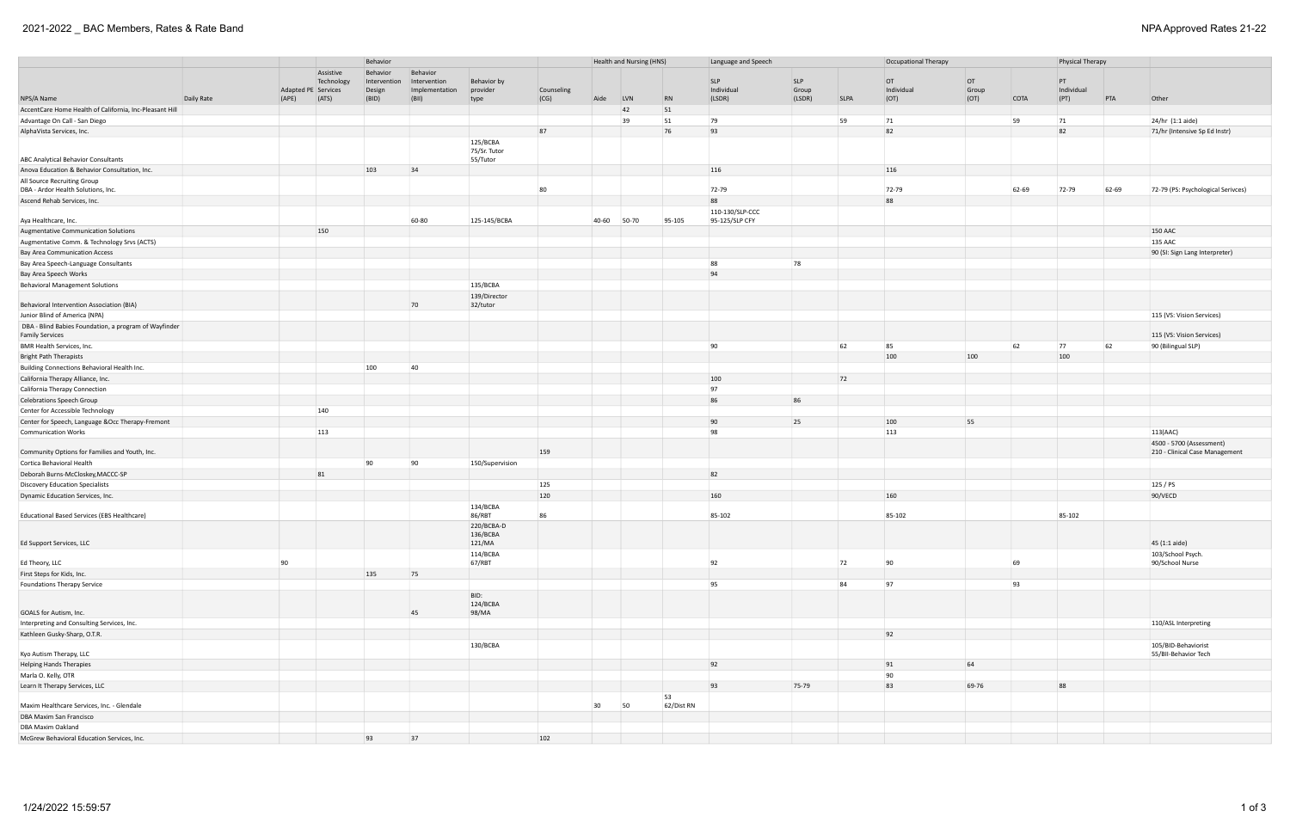# 2021-2022 \_ BAC Members, Rates & Rate Band NPA Approved Rates 21-22

| Assistive<br>Behavior<br>Behavior<br><b>SLP</b><br><b>SLP</b><br>OT<br>OT<br>PT<br>Technology<br>Behavior by<br>Intervention<br>Intervention<br>Individual<br>Group<br>Group<br>Individual<br>Adapted PE Services<br>Counseling<br>Individual<br>Design<br>Implementation<br>provider<br>(BID)<br>(BII)<br>(CG)<br>$\overline{RN}$<br>(LSDR)<br><b>SLPA</b><br>(OT)<br>(OT)<br>COTA<br>(PT)<br>PTA<br>Other<br>Daily Rate<br>(APE)<br>(ATS)<br>Aide<br><b>LVN</b><br>(LSDR)<br>type<br>AccentCare Home Health of California, Inc-Pleasant Hill<br>51<br>42<br>59<br>51<br>79<br>59<br>24/hr (1:1 aide)<br>Advantage On Call - San Diego<br>39<br>71<br>71<br>76<br>93<br>82<br>87<br>82<br>AlphaVista Services, Inc.<br>71/hr (Intensive Sp Ed Instr)<br>125/BCBA<br>75/Sr. Tutor<br><b>ABC Analytical Behavior Consultants</b><br>55/Tutor<br>103<br>34<br>116<br>116<br>Anova Education & Behavior Consultation, Inc.<br>All Source Recruiting Group<br>80<br>72-79<br>72-79<br>62-69<br>62-69<br>72-79<br>72-79 (PS: Psychological Serivces)<br>88<br>88<br>110-130/SLP-CCC<br>60-80<br>125-145/BCBA<br>40-60<br>50-70<br>95-105<br>95-125/SLP CFY<br>150<br><b>150 AAC</b><br>135 AAC<br>90 (SI: Sign Lang Interpreter)<br>88<br>78<br>94<br>135/BCBA<br>139/Director<br>70<br>32/tutor<br>Behavioral Intervention Association (BIA)<br>Junior Blind of America (NPA)<br>115 (VS: Vision Services)<br>DBA - Blind Babies Foundation, a program of Wayfinder<br><b>Family Services</b><br>115 (VS: Vision Services)<br>90<br>62<br>85<br>62<br>77<br>62<br>BMR Health Services, Inc.<br>90 (Bilingual SLP)<br>100<br>100<br>100<br><b>Bright Path Therapists</b><br>100<br>40<br>Building Connections Behavioral Health Inc.<br>100<br>72<br>California Therapy Alliance, Inc.<br>97<br>California Therapy Connection<br>86<br>86<br>Celebrations Speech Group<br>140<br>Center for Accessible Technology<br>90<br>25<br>100<br>55<br>Center for Speech, Language &Occ Therapy-Fremont<br>113<br>98<br>113<br>113(AAC)<br><b>Communication Works</b><br>4500 - 5700 (Assessment)<br>159<br>210 - Clinical Case Management<br>90<br>90<br>150/Supervision<br>82<br>81<br>125<br>125 / PS<br>120<br>160<br>160<br>90/VECD<br>134/BCBA<br>86/RBT<br>85-102<br>85-102<br>86<br>85-102<br>220/BCBA-D<br>136/BCBA<br>45 (1:1 aide)<br>Ed Support Services, LLC<br>121/MA<br>114/BCBA<br>103/School Psych.<br>92<br>72<br>69<br>90<br>67/RBT<br>90<br>90/School Nurse<br>135<br>75<br>Foundations Therapy Service<br>95<br>84<br>97<br>93<br>BID:<br>124/BCBA<br>GOALS for Autism, Inc.<br>45<br>98/MA<br>Interpreting and Consulting Services, Inc.<br>110/ASL Interpreting<br>92<br>Kathleen Gusky-Sharp, O.T.R.<br>130/BCBA<br>105/BID-Behaviorist<br>Kyo Autism Therapy, LLC<br>55/BII-Behavior Tech<br>92<br>64<br><b>Helping Hands Therapies</b><br>91<br>90<br>Marla O. Kelly, OTR<br>93<br>83<br>75-79<br>69-76<br>88<br>Learn It Therapy Services, LLC<br>53<br>30 <sup>°</sup><br>62/Dist RN<br>Maxim Healthcare Services, Inc. - Glendale<br>50<br>DBA Maxim San Francisco |                                                |  | Behavior | Health and Nursing (HNS) |    |  |     | Language and Speech |  | Occupational Therapy | Physical Therapy |  |  |  |  |  |  |
|-----------------------------------------------------------------------------------------------------------------------------------------------------------------------------------------------------------------------------------------------------------------------------------------------------------------------------------------------------------------------------------------------------------------------------------------------------------------------------------------------------------------------------------------------------------------------------------------------------------------------------------------------------------------------------------------------------------------------------------------------------------------------------------------------------------------------------------------------------------------------------------------------------------------------------------------------------------------------------------------------------------------------------------------------------------------------------------------------------------------------------------------------------------------------------------------------------------------------------------------------------------------------------------------------------------------------------------------------------------------------------------------------------------------------------------------------------------------------------------------------------------------------------------------------------------------------------------------------------------------------------------------------------------------------------------------------------------------------------------------------------------------------------------------------------------------------------------------------------------------------------------------------------------------------------------------------------------------------------------------------------------------------------------------------------------------------------------------------------------------------------------------------------------------------------------------------------------------------------------------------------------------------------------------------------------------------------------------------------------------------------------------------------------------------------------------------------------------------------------------------------------------------------------------------------------------------------------------------------------------------------------------------------------------------------------------------------------------------------------------------------------------------------------------------------------------------------------------------------------------------------------------------------------------------------------------------------------------------------------------------------------------------------------------------------------------------------------|------------------------------------------------|--|----------|--------------------------|----|--|-----|---------------------|--|----------------------|------------------|--|--|--|--|--|--|
|                                                                                                                                                                                                                                                                                                                                                                                                                                                                                                                                                                                                                                                                                                                                                                                                                                                                                                                                                                                                                                                                                                                                                                                                                                                                                                                                                                                                                                                                                                                                                                                                                                                                                                                                                                                                                                                                                                                                                                                                                                                                                                                                                                                                                                                                                                                                                                                                                                                                                                                                                                                                                                                                                                                                                                                                                                                                                                                                                                                                                                                                                   |                                                |  |          |                          |    |  |     |                     |  |                      |                  |  |  |  |  |  |  |
|                                                                                                                                                                                                                                                                                                                                                                                                                                                                                                                                                                                                                                                                                                                                                                                                                                                                                                                                                                                                                                                                                                                                                                                                                                                                                                                                                                                                                                                                                                                                                                                                                                                                                                                                                                                                                                                                                                                                                                                                                                                                                                                                                                                                                                                                                                                                                                                                                                                                                                                                                                                                                                                                                                                                                                                                                                                                                                                                                                                                                                                                                   |                                                |  |          |                          |    |  |     |                     |  |                      |                  |  |  |  |  |  |  |
|                                                                                                                                                                                                                                                                                                                                                                                                                                                                                                                                                                                                                                                                                                                                                                                                                                                                                                                                                                                                                                                                                                                                                                                                                                                                                                                                                                                                                                                                                                                                                                                                                                                                                                                                                                                                                                                                                                                                                                                                                                                                                                                                                                                                                                                                                                                                                                                                                                                                                                                                                                                                                                                                                                                                                                                                                                                                                                                                                                                                                                                                                   |                                                |  |          |                          |    |  |     |                     |  |                      |                  |  |  |  |  |  |  |
|                                                                                                                                                                                                                                                                                                                                                                                                                                                                                                                                                                                                                                                                                                                                                                                                                                                                                                                                                                                                                                                                                                                                                                                                                                                                                                                                                                                                                                                                                                                                                                                                                                                                                                                                                                                                                                                                                                                                                                                                                                                                                                                                                                                                                                                                                                                                                                                                                                                                                                                                                                                                                                                                                                                                                                                                                                                                                                                                                                                                                                                                                   | NPS/A Name                                     |  |          |                          |    |  |     |                     |  |                      |                  |  |  |  |  |  |  |
|                                                                                                                                                                                                                                                                                                                                                                                                                                                                                                                                                                                                                                                                                                                                                                                                                                                                                                                                                                                                                                                                                                                                                                                                                                                                                                                                                                                                                                                                                                                                                                                                                                                                                                                                                                                                                                                                                                                                                                                                                                                                                                                                                                                                                                                                                                                                                                                                                                                                                                                                                                                                                                                                                                                                                                                                                                                                                                                                                                                                                                                                                   |                                                |  |          |                          |    |  |     |                     |  |                      |                  |  |  |  |  |  |  |
|                                                                                                                                                                                                                                                                                                                                                                                                                                                                                                                                                                                                                                                                                                                                                                                                                                                                                                                                                                                                                                                                                                                                                                                                                                                                                                                                                                                                                                                                                                                                                                                                                                                                                                                                                                                                                                                                                                                                                                                                                                                                                                                                                                                                                                                                                                                                                                                                                                                                                                                                                                                                                                                                                                                                                                                                                                                                                                                                                                                                                                                                                   |                                                |  |          |                          |    |  |     |                     |  |                      |                  |  |  |  |  |  |  |
|                                                                                                                                                                                                                                                                                                                                                                                                                                                                                                                                                                                                                                                                                                                                                                                                                                                                                                                                                                                                                                                                                                                                                                                                                                                                                                                                                                                                                                                                                                                                                                                                                                                                                                                                                                                                                                                                                                                                                                                                                                                                                                                                                                                                                                                                                                                                                                                                                                                                                                                                                                                                                                                                                                                                                                                                                                                                                                                                                                                                                                                                                   |                                                |  |          |                          |    |  |     |                     |  |                      |                  |  |  |  |  |  |  |
|                                                                                                                                                                                                                                                                                                                                                                                                                                                                                                                                                                                                                                                                                                                                                                                                                                                                                                                                                                                                                                                                                                                                                                                                                                                                                                                                                                                                                                                                                                                                                                                                                                                                                                                                                                                                                                                                                                                                                                                                                                                                                                                                                                                                                                                                                                                                                                                                                                                                                                                                                                                                                                                                                                                                                                                                                                                                                                                                                                                                                                                                                   |                                                |  |          |                          |    |  |     |                     |  |                      |                  |  |  |  |  |  |  |
|                                                                                                                                                                                                                                                                                                                                                                                                                                                                                                                                                                                                                                                                                                                                                                                                                                                                                                                                                                                                                                                                                                                                                                                                                                                                                                                                                                                                                                                                                                                                                                                                                                                                                                                                                                                                                                                                                                                                                                                                                                                                                                                                                                                                                                                                                                                                                                                                                                                                                                                                                                                                                                                                                                                                                                                                                                                                                                                                                                                                                                                                                   |                                                |  |          |                          |    |  |     |                     |  |                      |                  |  |  |  |  |  |  |
|                                                                                                                                                                                                                                                                                                                                                                                                                                                                                                                                                                                                                                                                                                                                                                                                                                                                                                                                                                                                                                                                                                                                                                                                                                                                                                                                                                                                                                                                                                                                                                                                                                                                                                                                                                                                                                                                                                                                                                                                                                                                                                                                                                                                                                                                                                                                                                                                                                                                                                                                                                                                                                                                                                                                                                                                                                                                                                                                                                                                                                                                                   |                                                |  |          |                          |    |  |     |                     |  |                      |                  |  |  |  |  |  |  |
|                                                                                                                                                                                                                                                                                                                                                                                                                                                                                                                                                                                                                                                                                                                                                                                                                                                                                                                                                                                                                                                                                                                                                                                                                                                                                                                                                                                                                                                                                                                                                                                                                                                                                                                                                                                                                                                                                                                                                                                                                                                                                                                                                                                                                                                                                                                                                                                                                                                                                                                                                                                                                                                                                                                                                                                                                                                                                                                                                                                                                                                                                   |                                                |  |          |                          |    |  |     |                     |  |                      |                  |  |  |  |  |  |  |
|                                                                                                                                                                                                                                                                                                                                                                                                                                                                                                                                                                                                                                                                                                                                                                                                                                                                                                                                                                                                                                                                                                                                                                                                                                                                                                                                                                                                                                                                                                                                                                                                                                                                                                                                                                                                                                                                                                                                                                                                                                                                                                                                                                                                                                                                                                                                                                                                                                                                                                                                                                                                                                                                                                                                                                                                                                                                                                                                                                                                                                                                                   | DBA - Ardor Health Solutions, Inc.             |  |          |                          |    |  |     |                     |  |                      |                  |  |  |  |  |  |  |
|                                                                                                                                                                                                                                                                                                                                                                                                                                                                                                                                                                                                                                                                                                                                                                                                                                                                                                                                                                                                                                                                                                                                                                                                                                                                                                                                                                                                                                                                                                                                                                                                                                                                                                                                                                                                                                                                                                                                                                                                                                                                                                                                                                                                                                                                                                                                                                                                                                                                                                                                                                                                                                                                                                                                                                                                                                                                                                                                                                                                                                                                                   | Ascend Rehab Services, Inc.                    |  |          |                          |    |  |     |                     |  |                      |                  |  |  |  |  |  |  |
|                                                                                                                                                                                                                                                                                                                                                                                                                                                                                                                                                                                                                                                                                                                                                                                                                                                                                                                                                                                                                                                                                                                                                                                                                                                                                                                                                                                                                                                                                                                                                                                                                                                                                                                                                                                                                                                                                                                                                                                                                                                                                                                                                                                                                                                                                                                                                                                                                                                                                                                                                                                                                                                                                                                                                                                                                                                                                                                                                                                                                                                                                   |                                                |  |          |                          |    |  |     |                     |  |                      |                  |  |  |  |  |  |  |
|                                                                                                                                                                                                                                                                                                                                                                                                                                                                                                                                                                                                                                                                                                                                                                                                                                                                                                                                                                                                                                                                                                                                                                                                                                                                                                                                                                                                                                                                                                                                                                                                                                                                                                                                                                                                                                                                                                                                                                                                                                                                                                                                                                                                                                                                                                                                                                                                                                                                                                                                                                                                                                                                                                                                                                                                                                                                                                                                                                                                                                                                                   | Aya Healthcare, Inc.                           |  |          |                          |    |  |     |                     |  |                      |                  |  |  |  |  |  |  |
|                                                                                                                                                                                                                                                                                                                                                                                                                                                                                                                                                                                                                                                                                                                                                                                                                                                                                                                                                                                                                                                                                                                                                                                                                                                                                                                                                                                                                                                                                                                                                                                                                                                                                                                                                                                                                                                                                                                                                                                                                                                                                                                                                                                                                                                                                                                                                                                                                                                                                                                                                                                                                                                                                                                                                                                                                                                                                                                                                                                                                                                                                   | <b>Augmentative Communication Solutions</b>    |  |          |                          |    |  |     |                     |  |                      |                  |  |  |  |  |  |  |
|                                                                                                                                                                                                                                                                                                                                                                                                                                                                                                                                                                                                                                                                                                                                                                                                                                                                                                                                                                                                                                                                                                                                                                                                                                                                                                                                                                                                                                                                                                                                                                                                                                                                                                                                                                                                                                                                                                                                                                                                                                                                                                                                                                                                                                                                                                                                                                                                                                                                                                                                                                                                                                                                                                                                                                                                                                                                                                                                                                                                                                                                                   | Augmentative Comm. & Technology Srvs (ACTS)    |  |          |                          |    |  |     |                     |  |                      |                  |  |  |  |  |  |  |
|                                                                                                                                                                                                                                                                                                                                                                                                                                                                                                                                                                                                                                                                                                                                                                                                                                                                                                                                                                                                                                                                                                                                                                                                                                                                                                                                                                                                                                                                                                                                                                                                                                                                                                                                                                                                                                                                                                                                                                                                                                                                                                                                                                                                                                                                                                                                                                                                                                                                                                                                                                                                                                                                                                                                                                                                                                                                                                                                                                                                                                                                                   | <b>Bay Area Communication Access</b>           |  |          |                          |    |  |     |                     |  |                      |                  |  |  |  |  |  |  |
|                                                                                                                                                                                                                                                                                                                                                                                                                                                                                                                                                                                                                                                                                                                                                                                                                                                                                                                                                                                                                                                                                                                                                                                                                                                                                                                                                                                                                                                                                                                                                                                                                                                                                                                                                                                                                                                                                                                                                                                                                                                                                                                                                                                                                                                                                                                                                                                                                                                                                                                                                                                                                                                                                                                                                                                                                                                                                                                                                                                                                                                                                   | Bay Area Speech-Language Consultants           |  |          |                          |    |  |     |                     |  |                      |                  |  |  |  |  |  |  |
|                                                                                                                                                                                                                                                                                                                                                                                                                                                                                                                                                                                                                                                                                                                                                                                                                                                                                                                                                                                                                                                                                                                                                                                                                                                                                                                                                                                                                                                                                                                                                                                                                                                                                                                                                                                                                                                                                                                                                                                                                                                                                                                                                                                                                                                                                                                                                                                                                                                                                                                                                                                                                                                                                                                                                                                                                                                                                                                                                                                                                                                                                   | Bay Area Speech Works                          |  |          |                          |    |  |     |                     |  |                      |                  |  |  |  |  |  |  |
|                                                                                                                                                                                                                                                                                                                                                                                                                                                                                                                                                                                                                                                                                                                                                                                                                                                                                                                                                                                                                                                                                                                                                                                                                                                                                                                                                                                                                                                                                                                                                                                                                                                                                                                                                                                                                                                                                                                                                                                                                                                                                                                                                                                                                                                                                                                                                                                                                                                                                                                                                                                                                                                                                                                                                                                                                                                                                                                                                                                                                                                                                   | <b>Behavioral Management Solutions</b>         |  |          |                          |    |  |     |                     |  |                      |                  |  |  |  |  |  |  |
|                                                                                                                                                                                                                                                                                                                                                                                                                                                                                                                                                                                                                                                                                                                                                                                                                                                                                                                                                                                                                                                                                                                                                                                                                                                                                                                                                                                                                                                                                                                                                                                                                                                                                                                                                                                                                                                                                                                                                                                                                                                                                                                                                                                                                                                                                                                                                                                                                                                                                                                                                                                                                                                                                                                                                                                                                                                                                                                                                                                                                                                                                   |                                                |  |          |                          |    |  |     |                     |  |                      |                  |  |  |  |  |  |  |
|                                                                                                                                                                                                                                                                                                                                                                                                                                                                                                                                                                                                                                                                                                                                                                                                                                                                                                                                                                                                                                                                                                                                                                                                                                                                                                                                                                                                                                                                                                                                                                                                                                                                                                                                                                                                                                                                                                                                                                                                                                                                                                                                                                                                                                                                                                                                                                                                                                                                                                                                                                                                                                                                                                                                                                                                                                                                                                                                                                                                                                                                                   |                                                |  |          |                          |    |  |     |                     |  |                      |                  |  |  |  |  |  |  |
|                                                                                                                                                                                                                                                                                                                                                                                                                                                                                                                                                                                                                                                                                                                                                                                                                                                                                                                                                                                                                                                                                                                                                                                                                                                                                                                                                                                                                                                                                                                                                                                                                                                                                                                                                                                                                                                                                                                                                                                                                                                                                                                                                                                                                                                                                                                                                                                                                                                                                                                                                                                                                                                                                                                                                                                                                                                                                                                                                                                                                                                                                   |                                                |  |          |                          |    |  |     |                     |  |                      |                  |  |  |  |  |  |  |
|                                                                                                                                                                                                                                                                                                                                                                                                                                                                                                                                                                                                                                                                                                                                                                                                                                                                                                                                                                                                                                                                                                                                                                                                                                                                                                                                                                                                                                                                                                                                                                                                                                                                                                                                                                                                                                                                                                                                                                                                                                                                                                                                                                                                                                                                                                                                                                                                                                                                                                                                                                                                                                                                                                                                                                                                                                                                                                                                                                                                                                                                                   |                                                |  |          |                          |    |  |     |                     |  |                      |                  |  |  |  |  |  |  |
|                                                                                                                                                                                                                                                                                                                                                                                                                                                                                                                                                                                                                                                                                                                                                                                                                                                                                                                                                                                                                                                                                                                                                                                                                                                                                                                                                                                                                                                                                                                                                                                                                                                                                                                                                                                                                                                                                                                                                                                                                                                                                                                                                                                                                                                                                                                                                                                                                                                                                                                                                                                                                                                                                                                                                                                                                                                                                                                                                                                                                                                                                   |                                                |  |          |                          |    |  |     |                     |  |                      |                  |  |  |  |  |  |  |
|                                                                                                                                                                                                                                                                                                                                                                                                                                                                                                                                                                                                                                                                                                                                                                                                                                                                                                                                                                                                                                                                                                                                                                                                                                                                                                                                                                                                                                                                                                                                                                                                                                                                                                                                                                                                                                                                                                                                                                                                                                                                                                                                                                                                                                                                                                                                                                                                                                                                                                                                                                                                                                                                                                                                                                                                                                                                                                                                                                                                                                                                                   |                                                |  |          |                          |    |  |     |                     |  |                      |                  |  |  |  |  |  |  |
|                                                                                                                                                                                                                                                                                                                                                                                                                                                                                                                                                                                                                                                                                                                                                                                                                                                                                                                                                                                                                                                                                                                                                                                                                                                                                                                                                                                                                                                                                                                                                                                                                                                                                                                                                                                                                                                                                                                                                                                                                                                                                                                                                                                                                                                                                                                                                                                                                                                                                                                                                                                                                                                                                                                                                                                                                                                                                                                                                                                                                                                                                   |                                                |  |          |                          |    |  |     |                     |  |                      |                  |  |  |  |  |  |  |
|                                                                                                                                                                                                                                                                                                                                                                                                                                                                                                                                                                                                                                                                                                                                                                                                                                                                                                                                                                                                                                                                                                                                                                                                                                                                                                                                                                                                                                                                                                                                                                                                                                                                                                                                                                                                                                                                                                                                                                                                                                                                                                                                                                                                                                                                                                                                                                                                                                                                                                                                                                                                                                                                                                                                                                                                                                                                                                                                                                                                                                                                                   |                                                |  |          |                          |    |  |     |                     |  |                      |                  |  |  |  |  |  |  |
|                                                                                                                                                                                                                                                                                                                                                                                                                                                                                                                                                                                                                                                                                                                                                                                                                                                                                                                                                                                                                                                                                                                                                                                                                                                                                                                                                                                                                                                                                                                                                                                                                                                                                                                                                                                                                                                                                                                                                                                                                                                                                                                                                                                                                                                                                                                                                                                                                                                                                                                                                                                                                                                                                                                                                                                                                                                                                                                                                                                                                                                                                   |                                                |  |          |                          |    |  |     |                     |  |                      |                  |  |  |  |  |  |  |
|                                                                                                                                                                                                                                                                                                                                                                                                                                                                                                                                                                                                                                                                                                                                                                                                                                                                                                                                                                                                                                                                                                                                                                                                                                                                                                                                                                                                                                                                                                                                                                                                                                                                                                                                                                                                                                                                                                                                                                                                                                                                                                                                                                                                                                                                                                                                                                                                                                                                                                                                                                                                                                                                                                                                                                                                                                                                                                                                                                                                                                                                                   |                                                |  |          |                          |    |  |     |                     |  |                      |                  |  |  |  |  |  |  |
|                                                                                                                                                                                                                                                                                                                                                                                                                                                                                                                                                                                                                                                                                                                                                                                                                                                                                                                                                                                                                                                                                                                                                                                                                                                                                                                                                                                                                                                                                                                                                                                                                                                                                                                                                                                                                                                                                                                                                                                                                                                                                                                                                                                                                                                                                                                                                                                                                                                                                                                                                                                                                                                                                                                                                                                                                                                                                                                                                                                                                                                                                   |                                                |  |          |                          |    |  |     |                     |  |                      |                  |  |  |  |  |  |  |
|                                                                                                                                                                                                                                                                                                                                                                                                                                                                                                                                                                                                                                                                                                                                                                                                                                                                                                                                                                                                                                                                                                                                                                                                                                                                                                                                                                                                                                                                                                                                                                                                                                                                                                                                                                                                                                                                                                                                                                                                                                                                                                                                                                                                                                                                                                                                                                                                                                                                                                                                                                                                                                                                                                                                                                                                                                                                                                                                                                                                                                                                                   |                                                |  |          |                          |    |  |     |                     |  |                      |                  |  |  |  |  |  |  |
|                                                                                                                                                                                                                                                                                                                                                                                                                                                                                                                                                                                                                                                                                                                                                                                                                                                                                                                                                                                                                                                                                                                                                                                                                                                                                                                                                                                                                                                                                                                                                                                                                                                                                                                                                                                                                                                                                                                                                                                                                                                                                                                                                                                                                                                                                                                                                                                                                                                                                                                                                                                                                                                                                                                                                                                                                                                                                                                                                                                                                                                                                   |                                                |  |          |                          |    |  |     |                     |  |                      |                  |  |  |  |  |  |  |
|                                                                                                                                                                                                                                                                                                                                                                                                                                                                                                                                                                                                                                                                                                                                                                                                                                                                                                                                                                                                                                                                                                                                                                                                                                                                                                                                                                                                                                                                                                                                                                                                                                                                                                                                                                                                                                                                                                                                                                                                                                                                                                                                                                                                                                                                                                                                                                                                                                                                                                                                                                                                                                                                                                                                                                                                                                                                                                                                                                                                                                                                                   |                                                |  |          |                          |    |  |     |                     |  |                      |                  |  |  |  |  |  |  |
|                                                                                                                                                                                                                                                                                                                                                                                                                                                                                                                                                                                                                                                                                                                                                                                                                                                                                                                                                                                                                                                                                                                                                                                                                                                                                                                                                                                                                                                                                                                                                                                                                                                                                                                                                                                                                                                                                                                                                                                                                                                                                                                                                                                                                                                                                                                                                                                                                                                                                                                                                                                                                                                                                                                                                                                                                                                                                                                                                                                                                                                                                   | Community Options for Families and Youth, Inc. |  |          |                          |    |  |     |                     |  |                      |                  |  |  |  |  |  |  |
|                                                                                                                                                                                                                                                                                                                                                                                                                                                                                                                                                                                                                                                                                                                                                                                                                                                                                                                                                                                                                                                                                                                                                                                                                                                                                                                                                                                                                                                                                                                                                                                                                                                                                                                                                                                                                                                                                                                                                                                                                                                                                                                                                                                                                                                                                                                                                                                                                                                                                                                                                                                                                                                                                                                                                                                                                                                                                                                                                                                                                                                                                   | Cortica Behavioral Health                      |  |          |                          |    |  |     |                     |  |                      |                  |  |  |  |  |  |  |
|                                                                                                                                                                                                                                                                                                                                                                                                                                                                                                                                                                                                                                                                                                                                                                                                                                                                                                                                                                                                                                                                                                                                                                                                                                                                                                                                                                                                                                                                                                                                                                                                                                                                                                                                                                                                                                                                                                                                                                                                                                                                                                                                                                                                                                                                                                                                                                                                                                                                                                                                                                                                                                                                                                                                                                                                                                                                                                                                                                                                                                                                                   | Deborah Burns-McCloskey, MACCC-SP              |  |          |                          |    |  |     |                     |  |                      |                  |  |  |  |  |  |  |
|                                                                                                                                                                                                                                                                                                                                                                                                                                                                                                                                                                                                                                                                                                                                                                                                                                                                                                                                                                                                                                                                                                                                                                                                                                                                                                                                                                                                                                                                                                                                                                                                                                                                                                                                                                                                                                                                                                                                                                                                                                                                                                                                                                                                                                                                                                                                                                                                                                                                                                                                                                                                                                                                                                                                                                                                                                                                                                                                                                                                                                                                                   | <b>Discovery Education Specialists</b>         |  |          |                          |    |  |     |                     |  |                      |                  |  |  |  |  |  |  |
|                                                                                                                                                                                                                                                                                                                                                                                                                                                                                                                                                                                                                                                                                                                                                                                                                                                                                                                                                                                                                                                                                                                                                                                                                                                                                                                                                                                                                                                                                                                                                                                                                                                                                                                                                                                                                                                                                                                                                                                                                                                                                                                                                                                                                                                                                                                                                                                                                                                                                                                                                                                                                                                                                                                                                                                                                                                                                                                                                                                                                                                                                   | Dynamic Education Services, Inc.               |  |          |                          |    |  |     |                     |  |                      |                  |  |  |  |  |  |  |
|                                                                                                                                                                                                                                                                                                                                                                                                                                                                                                                                                                                                                                                                                                                                                                                                                                                                                                                                                                                                                                                                                                                                                                                                                                                                                                                                                                                                                                                                                                                                                                                                                                                                                                                                                                                                                                                                                                                                                                                                                                                                                                                                                                                                                                                                                                                                                                                                                                                                                                                                                                                                                                                                                                                                                                                                                                                                                                                                                                                                                                                                                   |                                                |  |          |                          |    |  |     |                     |  |                      |                  |  |  |  |  |  |  |
|                                                                                                                                                                                                                                                                                                                                                                                                                                                                                                                                                                                                                                                                                                                                                                                                                                                                                                                                                                                                                                                                                                                                                                                                                                                                                                                                                                                                                                                                                                                                                                                                                                                                                                                                                                                                                                                                                                                                                                                                                                                                                                                                                                                                                                                                                                                                                                                                                                                                                                                                                                                                                                                                                                                                                                                                                                                                                                                                                                                                                                                                                   | Educational Based Services (EBS Healthcare)    |  |          |                          |    |  |     |                     |  |                      |                  |  |  |  |  |  |  |
|                                                                                                                                                                                                                                                                                                                                                                                                                                                                                                                                                                                                                                                                                                                                                                                                                                                                                                                                                                                                                                                                                                                                                                                                                                                                                                                                                                                                                                                                                                                                                                                                                                                                                                                                                                                                                                                                                                                                                                                                                                                                                                                                                                                                                                                                                                                                                                                                                                                                                                                                                                                                                                                                                                                                                                                                                                                                                                                                                                                                                                                                                   |                                                |  |          |                          |    |  |     |                     |  |                      |                  |  |  |  |  |  |  |
|                                                                                                                                                                                                                                                                                                                                                                                                                                                                                                                                                                                                                                                                                                                                                                                                                                                                                                                                                                                                                                                                                                                                                                                                                                                                                                                                                                                                                                                                                                                                                                                                                                                                                                                                                                                                                                                                                                                                                                                                                                                                                                                                                                                                                                                                                                                                                                                                                                                                                                                                                                                                                                                                                                                                                                                                                                                                                                                                                                                                                                                                                   |                                                |  |          |                          |    |  |     |                     |  |                      |                  |  |  |  |  |  |  |
|                                                                                                                                                                                                                                                                                                                                                                                                                                                                                                                                                                                                                                                                                                                                                                                                                                                                                                                                                                                                                                                                                                                                                                                                                                                                                                                                                                                                                                                                                                                                                                                                                                                                                                                                                                                                                                                                                                                                                                                                                                                                                                                                                                                                                                                                                                                                                                                                                                                                                                                                                                                                                                                                                                                                                                                                                                                                                                                                                                                                                                                                                   |                                                |  |          |                          |    |  |     |                     |  |                      |                  |  |  |  |  |  |  |
|                                                                                                                                                                                                                                                                                                                                                                                                                                                                                                                                                                                                                                                                                                                                                                                                                                                                                                                                                                                                                                                                                                                                                                                                                                                                                                                                                                                                                                                                                                                                                                                                                                                                                                                                                                                                                                                                                                                                                                                                                                                                                                                                                                                                                                                                                                                                                                                                                                                                                                                                                                                                                                                                                                                                                                                                                                                                                                                                                                                                                                                                                   | Ed Theory, LLC                                 |  |          |                          |    |  |     |                     |  |                      |                  |  |  |  |  |  |  |
|                                                                                                                                                                                                                                                                                                                                                                                                                                                                                                                                                                                                                                                                                                                                                                                                                                                                                                                                                                                                                                                                                                                                                                                                                                                                                                                                                                                                                                                                                                                                                                                                                                                                                                                                                                                                                                                                                                                                                                                                                                                                                                                                                                                                                                                                                                                                                                                                                                                                                                                                                                                                                                                                                                                                                                                                                                                                                                                                                                                                                                                                                   | First Steps for Kids, Inc.                     |  |          |                          |    |  |     |                     |  |                      |                  |  |  |  |  |  |  |
|                                                                                                                                                                                                                                                                                                                                                                                                                                                                                                                                                                                                                                                                                                                                                                                                                                                                                                                                                                                                                                                                                                                                                                                                                                                                                                                                                                                                                                                                                                                                                                                                                                                                                                                                                                                                                                                                                                                                                                                                                                                                                                                                                                                                                                                                                                                                                                                                                                                                                                                                                                                                                                                                                                                                                                                                                                                                                                                                                                                                                                                                                   |                                                |  |          |                          |    |  |     |                     |  |                      |                  |  |  |  |  |  |  |
|                                                                                                                                                                                                                                                                                                                                                                                                                                                                                                                                                                                                                                                                                                                                                                                                                                                                                                                                                                                                                                                                                                                                                                                                                                                                                                                                                                                                                                                                                                                                                                                                                                                                                                                                                                                                                                                                                                                                                                                                                                                                                                                                                                                                                                                                                                                                                                                                                                                                                                                                                                                                                                                                                                                                                                                                                                                                                                                                                                                                                                                                                   |                                                |  |          |                          |    |  |     |                     |  |                      |                  |  |  |  |  |  |  |
|                                                                                                                                                                                                                                                                                                                                                                                                                                                                                                                                                                                                                                                                                                                                                                                                                                                                                                                                                                                                                                                                                                                                                                                                                                                                                                                                                                                                                                                                                                                                                                                                                                                                                                                                                                                                                                                                                                                                                                                                                                                                                                                                                                                                                                                                                                                                                                                                                                                                                                                                                                                                                                                                                                                                                                                                                                                                                                                                                                                                                                                                                   |                                                |  |          |                          |    |  |     |                     |  |                      |                  |  |  |  |  |  |  |
|                                                                                                                                                                                                                                                                                                                                                                                                                                                                                                                                                                                                                                                                                                                                                                                                                                                                                                                                                                                                                                                                                                                                                                                                                                                                                                                                                                                                                                                                                                                                                                                                                                                                                                                                                                                                                                                                                                                                                                                                                                                                                                                                                                                                                                                                                                                                                                                                                                                                                                                                                                                                                                                                                                                                                                                                                                                                                                                                                                                                                                                                                   |                                                |  |          |                          |    |  |     |                     |  |                      |                  |  |  |  |  |  |  |
|                                                                                                                                                                                                                                                                                                                                                                                                                                                                                                                                                                                                                                                                                                                                                                                                                                                                                                                                                                                                                                                                                                                                                                                                                                                                                                                                                                                                                                                                                                                                                                                                                                                                                                                                                                                                                                                                                                                                                                                                                                                                                                                                                                                                                                                                                                                                                                                                                                                                                                                                                                                                                                                                                                                                                                                                                                                                                                                                                                                                                                                                                   |                                                |  |          |                          |    |  |     |                     |  |                      |                  |  |  |  |  |  |  |
|                                                                                                                                                                                                                                                                                                                                                                                                                                                                                                                                                                                                                                                                                                                                                                                                                                                                                                                                                                                                                                                                                                                                                                                                                                                                                                                                                                                                                                                                                                                                                                                                                                                                                                                                                                                                                                                                                                                                                                                                                                                                                                                                                                                                                                                                                                                                                                                                                                                                                                                                                                                                                                                                                                                                                                                                                                                                                                                                                                                                                                                                                   |                                                |  |          |                          |    |  |     |                     |  |                      |                  |  |  |  |  |  |  |
|                                                                                                                                                                                                                                                                                                                                                                                                                                                                                                                                                                                                                                                                                                                                                                                                                                                                                                                                                                                                                                                                                                                                                                                                                                                                                                                                                                                                                                                                                                                                                                                                                                                                                                                                                                                                                                                                                                                                                                                                                                                                                                                                                                                                                                                                                                                                                                                                                                                                                                                                                                                                                                                                                                                                                                                                                                                                                                                                                                                                                                                                                   |                                                |  |          |                          |    |  |     |                     |  |                      |                  |  |  |  |  |  |  |
|                                                                                                                                                                                                                                                                                                                                                                                                                                                                                                                                                                                                                                                                                                                                                                                                                                                                                                                                                                                                                                                                                                                                                                                                                                                                                                                                                                                                                                                                                                                                                                                                                                                                                                                                                                                                                                                                                                                                                                                                                                                                                                                                                                                                                                                                                                                                                                                                                                                                                                                                                                                                                                                                                                                                                                                                                                                                                                                                                                                                                                                                                   |                                                |  |          |                          |    |  |     |                     |  |                      |                  |  |  |  |  |  |  |
|                                                                                                                                                                                                                                                                                                                                                                                                                                                                                                                                                                                                                                                                                                                                                                                                                                                                                                                                                                                                                                                                                                                                                                                                                                                                                                                                                                                                                                                                                                                                                                                                                                                                                                                                                                                                                                                                                                                                                                                                                                                                                                                                                                                                                                                                                                                                                                                                                                                                                                                                                                                                                                                                                                                                                                                                                                                                                                                                                                                                                                                                                   |                                                |  |          |                          |    |  |     |                     |  |                      |                  |  |  |  |  |  |  |
|                                                                                                                                                                                                                                                                                                                                                                                                                                                                                                                                                                                                                                                                                                                                                                                                                                                                                                                                                                                                                                                                                                                                                                                                                                                                                                                                                                                                                                                                                                                                                                                                                                                                                                                                                                                                                                                                                                                                                                                                                                                                                                                                                                                                                                                                                                                                                                                                                                                                                                                                                                                                                                                                                                                                                                                                                                                                                                                                                                                                                                                                                   |                                                |  |          |                          |    |  |     |                     |  |                      |                  |  |  |  |  |  |  |
|                                                                                                                                                                                                                                                                                                                                                                                                                                                                                                                                                                                                                                                                                                                                                                                                                                                                                                                                                                                                                                                                                                                                                                                                                                                                                                                                                                                                                                                                                                                                                                                                                                                                                                                                                                                                                                                                                                                                                                                                                                                                                                                                                                                                                                                                                                                                                                                                                                                                                                                                                                                                                                                                                                                                                                                                                                                                                                                                                                                                                                                                                   |                                                |  |          |                          |    |  |     |                     |  |                      |                  |  |  |  |  |  |  |
|                                                                                                                                                                                                                                                                                                                                                                                                                                                                                                                                                                                                                                                                                                                                                                                                                                                                                                                                                                                                                                                                                                                                                                                                                                                                                                                                                                                                                                                                                                                                                                                                                                                                                                                                                                                                                                                                                                                                                                                                                                                                                                                                                                                                                                                                                                                                                                                                                                                                                                                                                                                                                                                                                                                                                                                                                                                                                                                                                                                                                                                                                   |                                                |  |          |                          |    |  |     |                     |  |                      |                  |  |  |  |  |  |  |
|                                                                                                                                                                                                                                                                                                                                                                                                                                                                                                                                                                                                                                                                                                                                                                                                                                                                                                                                                                                                                                                                                                                                                                                                                                                                                                                                                                                                                                                                                                                                                                                                                                                                                                                                                                                                                                                                                                                                                                                                                                                                                                                                                                                                                                                                                                                                                                                                                                                                                                                                                                                                                                                                                                                                                                                                                                                                                                                                                                                                                                                                                   |                                                |  |          |                          |    |  |     |                     |  |                      |                  |  |  |  |  |  |  |
|                                                                                                                                                                                                                                                                                                                                                                                                                                                                                                                                                                                                                                                                                                                                                                                                                                                                                                                                                                                                                                                                                                                                                                                                                                                                                                                                                                                                                                                                                                                                                                                                                                                                                                                                                                                                                                                                                                                                                                                                                                                                                                                                                                                                                                                                                                                                                                                                                                                                                                                                                                                                                                                                                                                                                                                                                                                                                                                                                                                                                                                                                   | DBA Maxim Oakland                              |  |          |                          |    |  |     |                     |  |                      |                  |  |  |  |  |  |  |
|                                                                                                                                                                                                                                                                                                                                                                                                                                                                                                                                                                                                                                                                                                                                                                                                                                                                                                                                                                                                                                                                                                                                                                                                                                                                                                                                                                                                                                                                                                                                                                                                                                                                                                                                                                                                                                                                                                                                                                                                                                                                                                                                                                                                                                                                                                                                                                                                                                                                                                                                                                                                                                                                                                                                                                                                                                                                                                                                                                                                                                                                                   | McGrew Behavioral Education Services, Inc.     |  |          | 93                       | 37 |  | 102 |                     |  |                      |                  |  |  |  |  |  |  |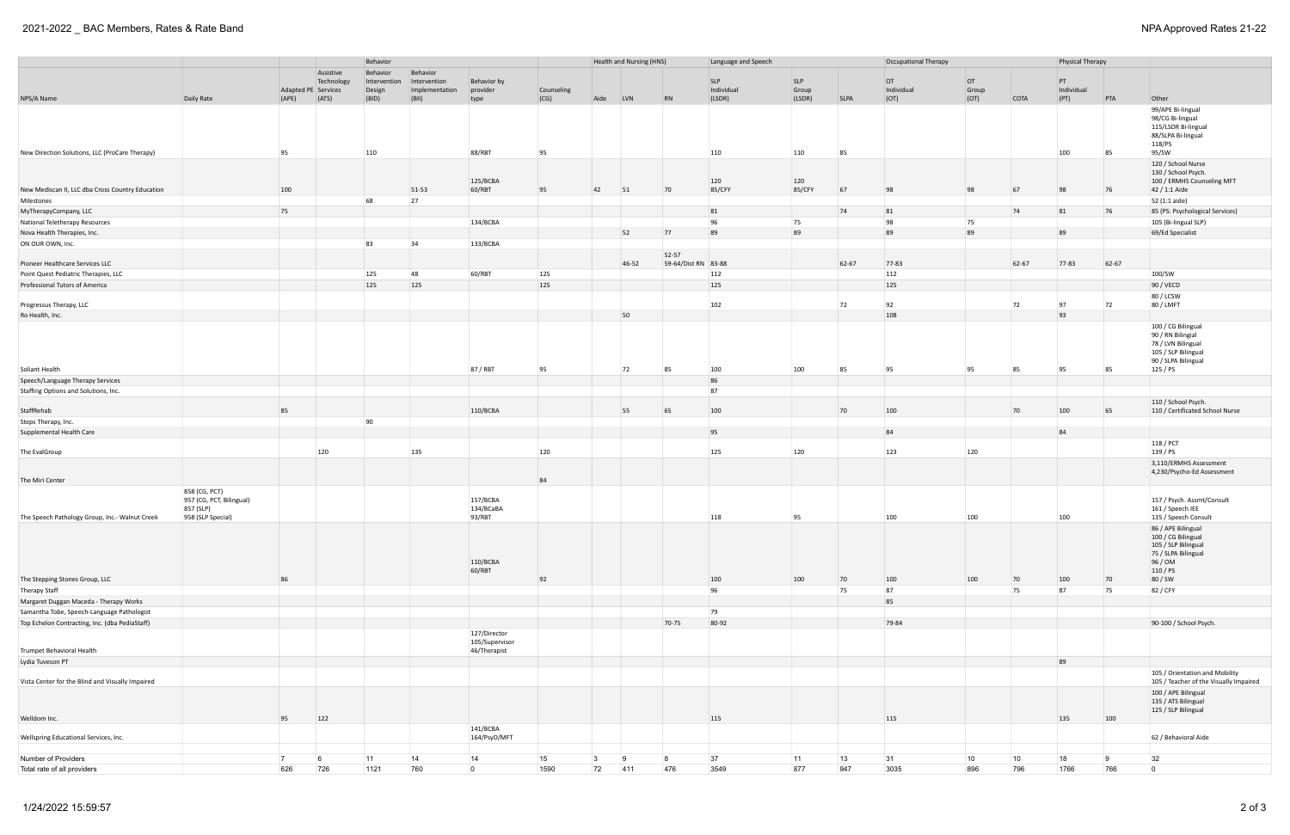## 2021-2022 \_ BAC Members, Rates & Rate Band NPA Approved Rates 21-22

|                                                  |                                                                             | Behavior       |                     |              |                |                                 |            |                 | Health and Nursing (HNS) |                              | Language and Speech |            |              | Occupational Therapy |       | Physical Therapy |            |       |                                                                                                                          |
|--------------------------------------------------|-----------------------------------------------------------------------------|----------------|---------------------|--------------|----------------|---------------------------------|------------|-----------------|--------------------------|------------------------------|---------------------|------------|--------------|----------------------|-------|------------------|------------|-------|--------------------------------------------------------------------------------------------------------------------------|
|                                                  |                                                                             |                | Assistive           | Behavior     | Behavior       |                                 |            |                 |                          |                              |                     |            |              |                      |       |                  |            |       |                                                                                                                          |
|                                                  |                                                                             |                | Technology          | Intervention | Intervention   | Behavior by                     |            |                 |                          |                              | <b>SLP</b>          | <b>SLP</b> |              | OT                   | OT    |                  | PT         |       |                                                                                                                          |
|                                                  |                                                                             |                | Adapted PE Services | Design       | Implementation | provider                        | Counseling |                 |                          |                              | Individual          | Group      |              | Individual           | Group |                  | Individual |       |                                                                                                                          |
| NPS/A Name                                       | Daily Rate                                                                  | (APE)          | (ATS)               | (BID)        | (BII)          | type                            | (CG)       | Aide            | LVN                      | $\overline{RN}$              | (LSDR)              | (LSDR)     | <b>SLPA</b>  | (OT)                 | (OT)  | <b>COTA</b>      | (PT)       | PTA   | Other                                                                                                                    |
|                                                  |                                                                             |                |                     |              |                |                                 |            |                 |                          |                              |                     |            |              |                      |       |                  |            |       | 99/APE Bi-lingual<br>98/CG Bi-lingual<br>115/LSDR Bi-lingual<br>88/SLPA Bi-lingual<br>118/PS                             |
| New Direction Solutions, LLC (ProCare Therapy)   |                                                                             | 95             |                     | 110          |                | 88/RBT                          | 95         |                 |                          |                              | 110                 | 110        | 85           |                      |       |                  | 100        | 85    | 95/SW                                                                                                                    |
|                                                  |                                                                             |                |                     |              |                | 125/BCBA                        |            |                 |                          |                              | 120                 | 120        |              |                      |       |                  |            |       | 120 / School Nurse<br>130 / School Psych.<br>100 / ERMHS Counseling MFT                                                  |
| New Mediscan II, LLC dba Cross Country Education |                                                                             | 100            |                     |              | 51-53          | 60/RBT                          | 95         | 42              | 51                       | 70                           | 85/CFY              | 85/CFY     | 67           | 98                   | 98    | 67               | 98         | 76    | 42 / 1:1 Aide                                                                                                            |
| Milestones                                       |                                                                             |                |                     | 68           | 27             |                                 |            |                 |                          |                              |                     |            |              |                      |       |                  |            |       | 52 (1:1 aide)                                                                                                            |
| MyTherapyCompany, LLC                            |                                                                             | 75             |                     |              |                |                                 |            |                 |                          |                              | 81                  |            | 74           | 81                   |       | 74               | 81         | 76    | 85 (PS: Psychological Services)                                                                                          |
| National Teletherapy Resources                   |                                                                             |                |                     |              |                | 134/BCBA                        |            |                 |                          |                              | 96                  | 75         |              | 98                   | 75    |                  |            |       | 105 (Bi-lingual SLP)                                                                                                     |
| Nova Health Therapies, Inc.                      |                                                                             |                |                     |              |                |                                 |            |                 | 52                       | 77                           | 89                  | 89         |              | 89                   | 89    |                  | 89         |       | 69/Ed Specialist                                                                                                         |
| ON OUR OWN, Inc.                                 |                                                                             |                |                     | 83           | 34             | 133/BCBA                        |            |                 |                          |                              |                     |            |              |                      |       |                  |            |       |                                                                                                                          |
| Pioneer Healthcare Services LLC                  |                                                                             |                |                     |              |                |                                 |            |                 | 46-52                    | 52-57<br>59-64/Dist RN 83-88 |                     |            | 62-67        | 77-83                |       | 62-67            | 77-83      | 62-67 |                                                                                                                          |
| Point Quest Pediatric Therapies, LLC             |                                                                             |                |                     | 125          | 48             | 60/RBT                          | 125        |                 |                          |                              | 112                 |            |              | 112                  |       |                  |            |       | 100/SW                                                                                                                   |
| Professional Tutors of America                   |                                                                             |                |                     | 125          | 125            |                                 | 125        |                 |                          |                              | 125                 |            |              | 125                  |       |                  |            |       | 90 / VECD                                                                                                                |
|                                                  |                                                                             |                |                     |              |                |                                 |            |                 |                          |                              |                     |            |              |                      |       |                  |            |       | 80 / LCSW                                                                                                                |
| Progressus Therapy, LLC                          |                                                                             |                |                     |              |                |                                 |            |                 |                          |                              | 102                 |            | 72           | 92                   |       | 72               | 97         | 72    | 80 / LMFT                                                                                                                |
| Ro Health, Inc.                                  |                                                                             |                |                     |              |                |                                 |            |                 | 50                       |                              |                     |            |              | 108                  |       |                  | 93         |       |                                                                                                                          |
| Soliant Health                                   |                                                                             |                |                     |              |                | 87 / RBT                        | 95         |                 | 72                       | 85                           | 100                 | 100        | 85           | 95                   | 95    | 85               | 95         | 85    | 100 / CG Bilingual<br>90 / RN Bilingial<br>78 / LVN Bilingual<br>105 / SLP Bilingual<br>90 / SLPA Bilingual<br>125 / PS  |
| Speech/Language Therapy Services                 |                                                                             |                |                     |              |                |                                 |            |                 |                          |                              | 86                  |            |              |                      |       |                  |            |       |                                                                                                                          |
| Staffing Options and Solutions, Inc.             |                                                                             |                |                     |              |                |                                 |            |                 |                          |                              | 87                  |            |              |                      |       |                  |            |       |                                                                                                                          |
|                                                  |                                                                             |                |                     |              |                |                                 |            |                 |                          |                              |                     |            |              |                      |       |                  |            |       | 110 / School Psych.                                                                                                      |
| StaffRehab                                       |                                                                             | 85             |                     |              |                | 110/BCBA                        |            |                 | 55                       | 65                           | 100                 |            | 70           | 100                  |       | 70               | 100        | 65    | 110 / Certificated School Nurse                                                                                          |
| Steps Therapy, Inc.                              |                                                                             |                |                     | 90           |                |                                 |            |                 |                          |                              | 95                  |            |              | 84                   |       |                  | 84         |       |                                                                                                                          |
| Supplemental Health Care                         |                                                                             |                |                     |              |                |                                 |            |                 |                          |                              |                     |            |              |                      |       |                  |            |       |                                                                                                                          |
| The EvalGroup                                    |                                                                             |                | 120                 |              | 135            |                                 | 120        |                 |                          |                              | 125                 | 120        |              | 123                  | 120   |                  |            |       | 118 / PCT<br>139 / PS                                                                                                    |
| The Miri Center                                  |                                                                             |                |                     |              |                |                                 | 84         |                 |                          |                              |                     |            |              |                      |       |                  |            |       | 3,110/ERMHS Assessment<br>4,230/Psycho-Ed Assessment                                                                     |
| The Speech Pathology Group, Inc.- Walnut Creek   | 858 (CG, PCT)<br>957 (CG, PCT, Bilingual)<br>857 (SLP)<br>958 (SLP Special) |                |                     |              |                | 157/BCBA<br>134/BCaBA<br>93/RBT |            |                 |                          |                              | 118                 | 95         |              | 100                  | 100   |                  | 100        |       | 157 / Psych. Assmt/Consult<br>161 / Speech IEE<br>135 / Speech Consult                                                   |
| The Stepping Stones Group, LLC                   |                                                                             | 86             |                     |              |                | 110/BCBA<br>60/RBT              | 92         |                 |                          |                              | 100                 | 100        | 70           | 100                  | 100   | 70               | 100        | 70    | 86 / APE Bilingual<br>100 / CG Bilingual<br>105 / SLP Bilingual<br>75 / SLPA Bilingual<br>96 / OM<br>110 / PS<br>80 / SW |
| Therapy Staff                                    |                                                                             |                |                     |              |                |                                 |            |                 |                          |                              | 96                  |            | 75           | 87                   |       | 75               | 87         | 75    | 82 / CFY                                                                                                                 |
| Margaret Duggan Maceda - Therapy Works           |                                                                             |                |                     |              |                |                                 |            |                 |                          |                              |                     |            |              | 85                   |       |                  |            |       |                                                                                                                          |
| Samantha Tobe, Speech-Language Pathologist       |                                                                             |                |                     |              |                |                                 |            |                 |                          |                              | 79                  |            |              |                      |       |                  |            |       |                                                                                                                          |
| Top Echelon Contracting, Inc. (dba PediaStaff)   |                                                                             |                |                     |              |                |                                 |            |                 |                          | 70-75                        | 80-92               |            |              | 79-84                |       |                  |            |       | 90-100 / School Psych.                                                                                                   |
|                                                  |                                                                             |                |                     |              |                | 127/Director<br>105/Supervisor  |            |                 |                          |                              |                     |            |              |                      |       |                  |            |       |                                                                                                                          |
| Trumpet Behavioral Health                        |                                                                             |                |                     |              |                | 46/Therapist                    |            |                 |                          |                              |                     |            |              |                      |       |                  |            |       |                                                                                                                          |
| Lydia Tuveson PT                                 |                                                                             |                |                     |              |                |                                 |            |                 |                          |                              |                     |            |              |                      |       |                  | 89         |       |                                                                                                                          |
| Vista Center for the Blind and Visually Impaired |                                                                             |                |                     |              |                |                                 |            |                 |                          |                              |                     |            |              |                      |       |                  |            |       | 105 / Orientation and Mobility<br>105 / Teacher of the Visually Impaired                                                 |
|                                                  |                                                                             |                |                     |              |                |                                 |            |                 |                          |                              |                     |            |              |                      |       |                  |            |       | 100 / APE Bilingual<br>135 / ATS Bilingual<br>125 / SLP Bilingual                                                        |
| Welldom Inc.                                     |                                                                             | 95             | 122                 |              |                |                                 |            |                 |                          |                              | 115                 |            |              | 115                  |       |                  | 135        | 100   |                                                                                                                          |
| Wellspring Educational Services, Inc.            |                                                                             |                |                     |              |                | 141/BCBA<br>164/PsyD/MFT        |            |                 |                          |                              |                     |            |              |                      |       |                  |            |       | 62 / Behavioral Aide                                                                                                     |
| Number of Providers                              |                                                                             | $\overline{7}$ | - 6                 | 11           | 14             | 14                              | 15         | $\vert 3 \vert$ | $\overline{9}$           | 8                            | 37                  | 11         | $ 13\rangle$ | 31                   | 10    | 10               | 18         | -9    | 32                                                                                                                       |
| Total rate of all providers                      |                                                                             | 626            | 726                 | 1121         | 760            | $\overline{0}$                  | 1590       | 72              | 411                      | 476                          | 3549                | 877        | 947          | 3035                 | 896   | 796              | 1766       | 766   | $\overline{0}$                                                                                                           |
|                                                  |                                                                             |                |                     |              |                |                                 |            |                 |                          |                              |                     |            |              |                      |       |                  |            |       |                                                                                                                          |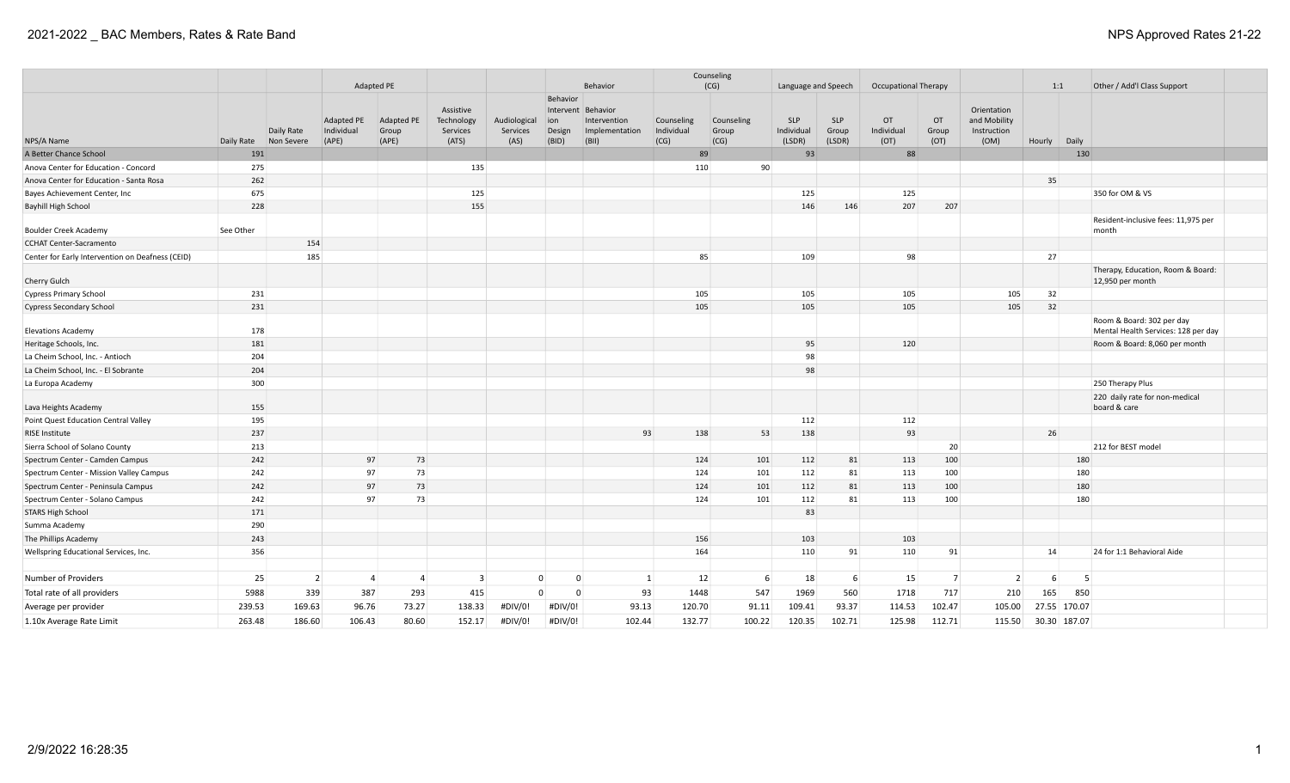|                                                  |            |                          |                                   |                                  |                                              |                                  |                                                 |                                                     |                                  | Counseling                  |                                    |                               |                             |                     |                                                    |        |              |                                                                  |  |
|--------------------------------------------------|------------|--------------------------|-----------------------------------|----------------------------------|----------------------------------------------|----------------------------------|-------------------------------------------------|-----------------------------------------------------|----------------------------------|-----------------------------|------------------------------------|-------------------------------|-----------------------------|---------------------|----------------------------------------------------|--------|--------------|------------------------------------------------------------------|--|
|                                                  |            |                          |                                   | Adapted PE                       |                                              |                                  |                                                 | Behavior                                            |                                  | (CG)                        | Language and Speech                |                               | <b>Occupational Therapy</b> |                     |                                                    |        | 1:1          | Other / Add'l Class Support                                      |  |
| NPS/A Name                                       | Daily Rate | Daily Rate<br>Non Severe | Adapted PE<br>Individual<br>(APE) | Adapted PE<br>Group<br>(APE)     | Assistive<br>Technology<br>Services<br>(ATS) | Audiological<br>Services<br>(AS) | Behavior<br>Intervent<br>ion<br>Design<br>(BID) | Behavior<br>Intervention<br>Implementation<br>(BII) | Counseling<br>Individual<br>(CG) | Counseling<br>Group<br>(CG) | <b>SLP</b><br>Individual<br>(LSDR) | <b>SLP</b><br>Group<br>(LSDR) | OT<br>Individual<br>(OT)    | OT<br>Group<br>(OT) | Orientation<br>and Mobility<br>Instruction<br>(OM) | Hourly | Daily        |                                                                  |  |
| A Better Chance School                           | 191        |                          |                                   |                                  |                                              |                                  |                                                 |                                                     |                                  | 89                          | 93                                 |                               | 88                          |                     |                                                    |        | 130          |                                                                  |  |
| Anova Center for Education - Concord             | 275        |                          |                                   |                                  | 135                                          |                                  |                                                 |                                                     | 110                              | 90                          |                                    |                               |                             |                     |                                                    |        |              |                                                                  |  |
| Anova Center for Education - Santa Rosa          | 262        |                          |                                   |                                  |                                              |                                  |                                                 |                                                     |                                  |                             |                                    |                               |                             |                     |                                                    | 35     |              |                                                                  |  |
| Bayes Achievement Center, Inc                    | 675        |                          |                                   |                                  | 125                                          |                                  |                                                 |                                                     |                                  |                             | 125                                |                               | 125                         |                     |                                                    |        |              | 350 for OM & VS                                                  |  |
| Bayhill High School                              | 228        |                          |                                   |                                  | 155                                          |                                  |                                                 |                                                     |                                  |                             | 146                                | 146                           | 207                         | 207                 |                                                    |        |              |                                                                  |  |
| <b>Boulder Creek Academy</b>                     | See Other  |                          |                                   |                                  |                                              |                                  |                                                 |                                                     |                                  |                             |                                    |                               |                             |                     |                                                    |        |              | Resident-inclusive fees: 11,975 per<br>month                     |  |
| <b>CCHAT Center-Sacramento</b>                   |            | 154                      |                                   |                                  |                                              |                                  |                                                 |                                                     |                                  |                             |                                    |                               |                             |                     |                                                    |        |              |                                                                  |  |
| Center for Early Intervention on Deafness (CEID) |            | 185                      |                                   |                                  |                                              |                                  |                                                 |                                                     | 85                               |                             | 109                                |                               | 98                          |                     |                                                    | 27     |              |                                                                  |  |
| Cherry Gulch                                     |            |                          |                                   |                                  |                                              |                                  |                                                 |                                                     |                                  |                             |                                    |                               |                             |                     |                                                    |        |              | Therapy, Education, Room & Board:<br>12,950 per month            |  |
| <b>Cypress Primary School</b>                    | 231        |                          |                                   |                                  |                                              |                                  |                                                 |                                                     | 105                              |                             | 105                                |                               | 105                         |                     | 105                                                | 32     |              |                                                                  |  |
| <b>Cypress Secondary School</b>                  | 231        |                          |                                   |                                  |                                              |                                  |                                                 |                                                     | 105                              |                             | 105                                |                               | 105                         |                     | 105                                                | 32     |              |                                                                  |  |
| <b>Elevations Academy</b>                        | 178        |                          |                                   |                                  |                                              |                                  |                                                 |                                                     |                                  |                             |                                    |                               |                             |                     |                                                    |        |              | Room & Board: 302 per day<br>Mental Health Services: 128 per day |  |
| Heritage Schools, Inc.                           | 181        |                          |                                   |                                  |                                              |                                  |                                                 |                                                     |                                  |                             | 95                                 |                               | 120                         |                     |                                                    |        |              | Room & Board: 8,060 per month                                    |  |
| La Cheim School, Inc. - Antioch                  | 204        |                          |                                   |                                  |                                              |                                  |                                                 |                                                     |                                  |                             | 98                                 |                               |                             |                     |                                                    |        |              |                                                                  |  |
| La Cheim School, Inc. - El Sobrante              | 204        |                          |                                   |                                  |                                              |                                  |                                                 |                                                     |                                  |                             | 98                                 |                               |                             |                     |                                                    |        |              |                                                                  |  |
| La Europa Academy                                | 300        |                          |                                   |                                  |                                              |                                  |                                                 |                                                     |                                  |                             |                                    |                               |                             |                     |                                                    |        |              | 250 Therapy Plus                                                 |  |
| Lava Heights Academy                             | 155        |                          |                                   |                                  |                                              |                                  |                                                 |                                                     |                                  |                             |                                    |                               |                             |                     |                                                    |        |              | 220 daily rate for non-medical<br>board & care                   |  |
| Point Quest Education Central Valley             | 195        |                          |                                   |                                  |                                              |                                  |                                                 |                                                     |                                  |                             | 112                                |                               | 112                         |                     |                                                    |        |              |                                                                  |  |
| <b>RISE Institute</b>                            | 237        |                          |                                   |                                  |                                              |                                  |                                                 | 93                                                  | 138                              | 53                          | 138                                |                               | 93                          |                     |                                                    | 26     |              |                                                                  |  |
| Sierra School of Solano County                   | 213        |                          |                                   |                                  |                                              |                                  |                                                 |                                                     |                                  |                             |                                    |                               |                             | 20 <sup>°</sup>     |                                                    |        |              | 212 for BEST model                                               |  |
| Spectrum Center - Camden Campus                  | 242        |                          | 97                                | 73                               |                                              |                                  |                                                 |                                                     | 124                              | 101                         | 112                                | 81                            | 113                         | 100                 |                                                    |        | 180          |                                                                  |  |
| Spectrum Center - Mission Valley Campus          | 242        |                          | 97                                | 73                               |                                              |                                  |                                                 |                                                     | 124                              | 101                         | 112                                | 81                            | 113                         | 100                 |                                                    |        | 180          |                                                                  |  |
| Spectrum Center - Peninsula Campus               | 242        |                          | 97                                | 73                               |                                              |                                  |                                                 |                                                     | 124                              | 101                         | 112                                | 81                            | 113                         | 100                 |                                                    |        | 180          |                                                                  |  |
| Spectrum Center - Solano Campus                  | 242        |                          | 97                                | 73                               |                                              |                                  |                                                 |                                                     | 124                              | 101                         | 112                                | 81                            | 113                         | 100                 |                                                    |        | 180          |                                                                  |  |
| <b>STARS High School</b>                         | 171        |                          |                                   |                                  |                                              |                                  |                                                 |                                                     |                                  |                             | 83                                 |                               |                             |                     |                                                    |        |              |                                                                  |  |
| Summa Academy                                    | 290        |                          |                                   |                                  |                                              |                                  |                                                 |                                                     |                                  |                             |                                    |                               |                             |                     |                                                    |        |              |                                                                  |  |
| The Phillips Academy                             | 243        |                          |                                   |                                  |                                              |                                  |                                                 |                                                     | 156                              |                             | 103                                |                               | 103                         |                     |                                                    |        |              |                                                                  |  |
| Wellspring Educational Services, Inc.            | 356        |                          |                                   |                                  |                                              |                                  |                                                 |                                                     | 164                              |                             | 110                                | 91                            | 110                         | 91                  |                                                    | 14     |              | 24 for 1:1 Behavioral Aide                                       |  |
| Number of Providers                              | 25         | $\overline{2}$           |                                   | $\overline{4}$<br>$\overline{4}$ | $\overline{\mathbf{3}}$                      | $\Omega$                         | $\Omega$                                        |                                                     | 1                                | 12<br>6                     | 18                                 | 6                             | 15                          | 7                   | $\overline{2}$                                     | 6      | - 5          |                                                                  |  |
| Total rate of all providers                      | 5988       | 339                      | 387                               | 293                              | 415                                          | $\overline{0}$                   | $\Omega$                                        | 93                                                  | 1448                             | 547                         | 1969                               | 560                           | 1718                        | 717                 | 210                                                | 165    | 850          |                                                                  |  |
| Average per provider                             | 239.53     | 169.63                   | 96.76                             | 73.27                            | 138.33                                       | #DIV/0!                          | #DIV/0!                                         | 93.13                                               | 120.70                           | 91.11                       | 109.41                             | 93.37                         | 114.53                      | 102.47              | 105.00                                             |        | 27.55 170.07 |                                                                  |  |
| 1.10x Average Rate Limit                         | 263.48     | 186.60                   | 106.43                            | 80.60                            | 152.17                                       | #DIV/0!                          | #DIV/0!                                         | 102.44                                              | 132.77                           | 100.22                      | 120.35                             | 102.71                        | 125.98                      | 112.71              | 115.50                                             |        | 30.30 187.07 |                                                                  |  |